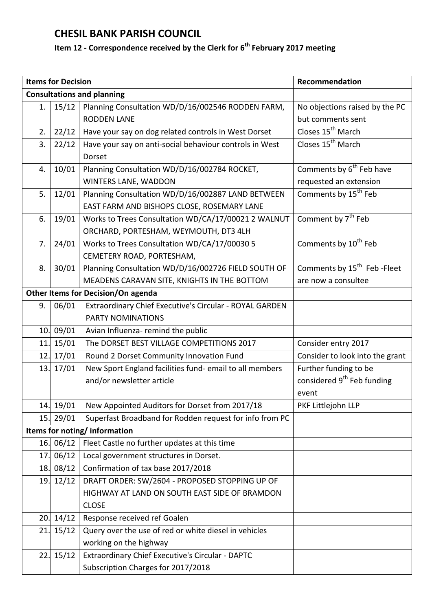## **CHESIL BANK PARISH COUNCIL**

## **Item 12 - Correspondence received by the Clerk for 6 th February 2017 meeting**

|                                    | <b>Items for Decision</b> |                                                         | Recommendation                           |  |  |
|------------------------------------|---------------------------|---------------------------------------------------------|------------------------------------------|--|--|
| <b>Consultations and planning</b>  |                           |                                                         |                                          |  |  |
| 1.                                 | 15/12                     | Planning Consultation WD/D/16/002546 RODDEN FARM,       | No objections raised by the PC           |  |  |
|                                    |                           | <b>RODDEN LANE</b>                                      | but comments sent                        |  |  |
| 2.                                 | 22/12                     | Have your say on dog related controls in West Dorset    | Closes 15 <sup>th</sup> March            |  |  |
| 3.                                 | 22/12                     | Have your say on anti-social behaviour controls in West | Closes 15 <sup>th</sup> March            |  |  |
|                                    |                           | Dorset                                                  |                                          |  |  |
| 4.                                 | 10/01                     | Planning Consultation WD/D/16/002784 ROCKET,            | Comments by 6 <sup>th</sup> Feb have     |  |  |
|                                    |                           | WINTERS LANE, WADDON                                    | requested an extension                   |  |  |
| 5.                                 | 12/01                     | Planning Consultation WD/D/16/002887 LAND BETWEEN       | Comments by 15 <sup>th</sup> Feb         |  |  |
|                                    |                           | EAST FARM AND BISHOPS CLOSE, ROSEMARY LANE              |                                          |  |  |
| 6.                                 | 19/01                     | Works to Trees Consultation WD/CA/17/00021 2 WALNUT     | Comment by 7 <sup>th</sup> Feb           |  |  |
|                                    |                           | ORCHARD, PORTESHAM, WEYMOUTH, DT3 4LH                   |                                          |  |  |
| 7.                                 | 24/01                     | Works to Trees Consultation WD/CA/17/00030 5            | Comments by 10 <sup>th</sup> Feb         |  |  |
|                                    |                           | CEMETERY ROAD, PORTESHAM,                               |                                          |  |  |
| 8.                                 | 30/01                     | Planning Consultation WD/D/16/002726 FIELD SOUTH OF     | Comments by 15 <sup>th</sup> Feb - Fleet |  |  |
|                                    |                           | MEADENS CARAVAN SITE, KNIGHTS IN THE BOTTOM             | are now a consultee                      |  |  |
| Other Items for Decision/On agenda |                           |                                                         |                                          |  |  |
| 9.                                 | 06/01                     | Extraordinary Chief Executive's Circular - ROYAL GARDEN |                                          |  |  |
|                                    |                           | <b>PARTY NOMINATIONS</b>                                |                                          |  |  |
|                                    | 10. 09/01                 | Avian Influenza- remind the public                      |                                          |  |  |
| 11.                                | 15/01                     | The DORSET BEST VILLAGE COMPETITIONS 2017               | Consider entry 2017                      |  |  |
|                                    | 12. 17/01                 | Round 2 Dorset Community Innovation Fund                | Consider to look into the grant          |  |  |
|                                    | 13. 17/01                 | New Sport England facilities fund- email to all members | Further funding to be                    |  |  |
|                                    |                           | and/or newsletter article                               | considered 9 <sup>th</sup> Feb funding   |  |  |
|                                    |                           |                                                         | event                                    |  |  |
|                                    | 14. 19/01                 | New Appointed Auditors for Dorset from 2017/18          | PKF Littlejohn LLP                       |  |  |
| 15.                                | 29/01                     | Superfast Broadband for Rodden request for info from PC |                                          |  |  |
| Items for noting/information       |                           |                                                         |                                          |  |  |
| 16.                                | 06/12                     | Fleet Castle no further updates at this time            |                                          |  |  |
| 17.                                | 06/12                     | Local government structures in Dorset.                  |                                          |  |  |
| 18.                                | 08/12                     | Confirmation of tax base 2017/2018                      |                                          |  |  |
| 19.                                | 12/12                     | DRAFT ORDER: SW/2604 - PROPOSED STOPPING UP OF          |                                          |  |  |
|                                    |                           | HIGHWAY AT LAND ON SOUTH EAST SIDE OF BRAMDON           |                                          |  |  |
|                                    |                           | <b>CLOSE</b>                                            |                                          |  |  |
| 20.                                | 14/12                     | Response received ref Goalen                            |                                          |  |  |
| 21.                                | 15/12                     | Query over the use of red or white diesel in vehicles   |                                          |  |  |
|                                    |                           | working on the highway                                  |                                          |  |  |
| 22.                                | 15/12                     | Extraordinary Chief Executive's Circular - DAPTC        |                                          |  |  |
|                                    |                           | Subscription Charges for 2017/2018                      |                                          |  |  |